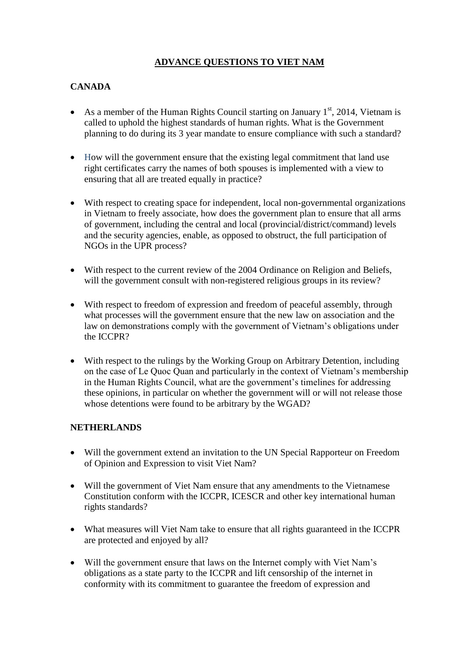## **ADVANCE QUESTIONS TO VIET NAM**

## **CANADA**

- As a member of the Human Rights Council starting on January  $1<sup>st</sup>$ , 2014, Vietnam is called to uphold the highest standards of human rights. What is the Government planning to do during its 3 year mandate to ensure compliance with such a standard?
- How will the government ensure that the existing legal commitment that land use right certificates carry the names of both spouses is implemented with a view to ensuring that all are treated equally in practice?
- With respect to creating space for independent, local non-governmental organizations in Vietnam to freely associate, how does the government plan to ensure that all arms of government, including the central and local (provincial/district/command) levels and the security agencies, enable, as opposed to obstruct, the full participation of NGOs in the UPR process?
- With respect to the current review of the 2004 Ordinance on Religion and Beliefs, will the government consult with non-registered religious groups in its review?
- With respect to freedom of expression and freedom of peaceful assembly, through what processes will the government ensure that the new law on association and the law on demonstrations comply with the government of Vietnam's obligations under the ICCPR?
- With respect to the rulings by the Working Group on Arbitrary Detention, including on the case of Le Quoc Quan and particularly in the context of Vietnam's membership in the Human Rights Council, what are the government's timelines for addressing these opinions, in particular on whether the government will or will not release those whose detentions were found to be arbitrary by the WGAD?

## **NETHERLANDS**

- Will the government extend an invitation to the UN Special Rapporteur on Freedom of Opinion and Expression to visit Viet Nam?
- Will the government of Viet Nam ensure that any amendments to the Vietnamese Constitution conform with the ICCPR, ICESCR and other key international human rights standards?
- What measures will Viet Nam take to ensure that all rights guaranteed in the ICCPR are protected and enjoyed by all?
- Will the government ensure that laws on the Internet comply with Viet Nam's obligations as a state party to the ICCPR and lift censorship of the internet in conformity with its commitment to guarantee the freedom of expression and